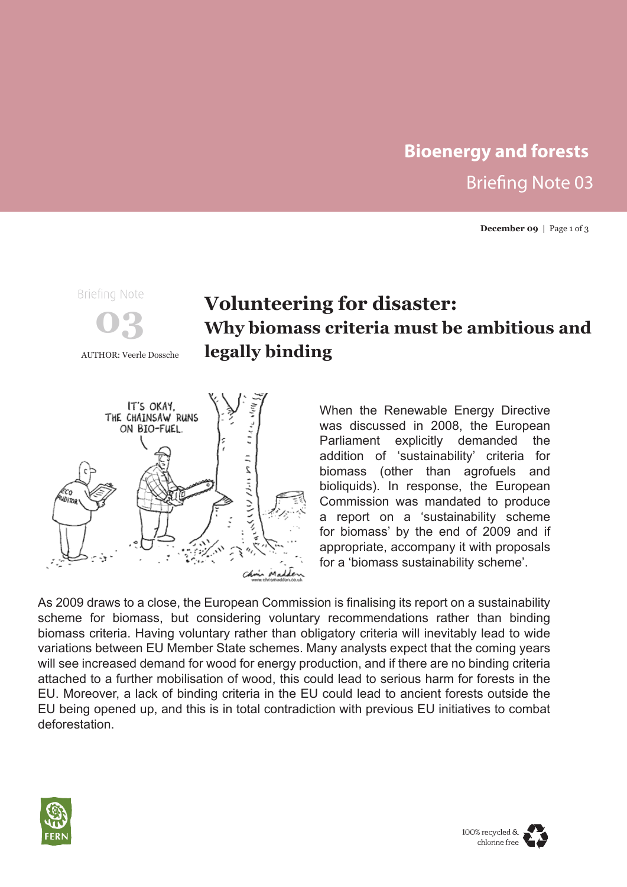# **Bioenergy and forests** Briefing Note 03

**December 09** | Page 1 of 3



# **Volunteering for disaster: Why biomass criteria must be ambitious and** AUTHOR: Veerle Dossche **legally binding**



When the Renewable Energy Directive was discussed in 2008, the European Parliament explicitly demanded the addition of 'sustainability' criteria for biomass (other than agrofuels and bioliquids). In response, the European Commission was mandated to produce a report on a 'sustainability scheme for biomass' by the end of 2009 and if appropriate, accompany it with proposals for a 'biomass sustainability scheme'.

As 2009 draws to a close, the European Commission is finalising its report on a sustainability scheme for biomass, but considering voluntary recommendations rather than binding biomass criteria. Having voluntary rather than obligatory criteria will inevitably lead to wide variations between EU Member State schemes. Many analysts expect that the coming years will see increased demand for wood for energy production, and if there are no binding criteria attached to a further mobilisation of wood, this could lead to serious harm for forests in the EU. Moreover, a lack of binding criteria in the EU could lead to ancient forests outside the EU being opened up, and this is in total contradiction with previous EU initiatives to combat deforestation.



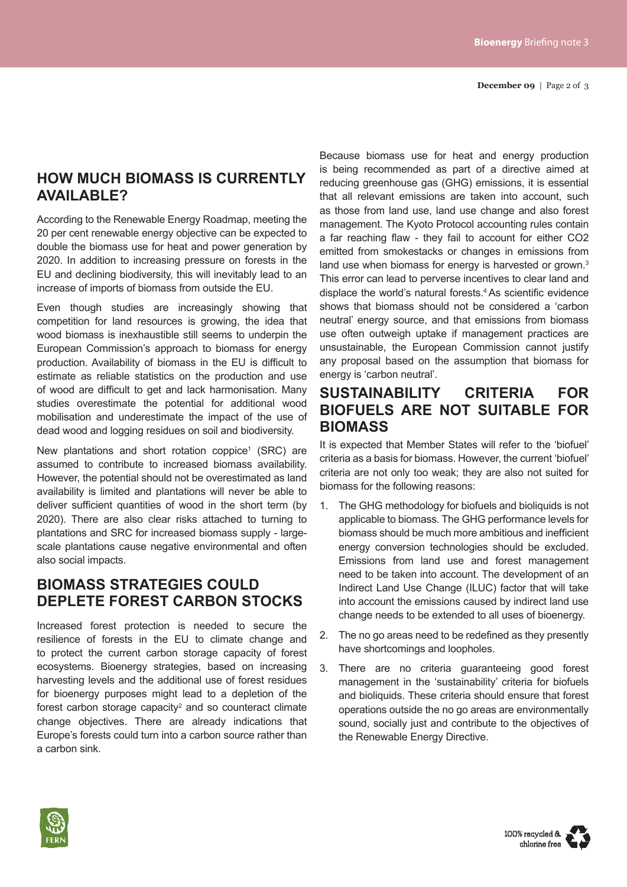# **HOW MUCH BIOMASS IS CURRENTLY AVAILABLE?**

According to the Renewable Energy Roadmap, meeting the 20 per cent renewable energy objective can be expected to double the biomass use for heat and power generation by 2020. In addition to increasing pressure on forests in the EU and declining biodiversity, this will inevitably lead to an increase of imports of biomass from outside the EU.

Even though studies are increasingly showing that competition for land resources is growing, the idea that wood biomass is inexhaustible still seems to underpin the European Commission's approach to biomass for energy production. Availability of biomass in the EU is difficult to estimate as reliable statistics on the production and use of wood are difficult to get and lack harmonisation. Many studies overestimate the potential for additional wood mobilisation and underestimate the impact of the use of dead wood and logging residues on soil and biodiversity.

New plantations and short rotation coppice<sup>1</sup> (SRC) are assumed to contribute to increased biomass availability. However, the potential should not be overestimated as land availability is limited and plantations will never be able to deliver sufficient quantities of wood in the short term (by 2020). There are also clear risks attached to turning to plantations and SRC for increased biomass supply - largescale plantations cause negative environmental and often also social impacts.

#### **BIOMASS STRATEGIES COULD DEPLETE FOREST CARBON STOCKS**

Increased forest protection is needed to secure the resilience of forests in the EU to climate change and to protect the current carbon storage capacity of forest ecosystems. Bioenergy strategies, based on increasing harvesting levels and the additional use of forest residues for bioenergy purposes might lead to a depletion of the forest carbon storage capacity<sup>2</sup> and so counteract climate change objectives. There are already indications that Europe's forests could turn into a carbon source rather than a carbon sink.

Because biomass use for heat and energy production is being recommended as part of a directive aimed at reducing greenhouse gas (GHG) emissions, it is essential that all relevant emissions are taken into account, such as those from land use, land use change and also forest management. The Kyoto Protocol accounting rules contain a far reaching flaw - they fail to account for either CO2 emitted from smokestacks or changes in emissions from land use when biomass for energy is harvested or grown.<sup>3</sup> This error can lead to perverse incentives to clear land and displace the world's natural forests.4 As scientific evidence shows that biomass should not be considered a 'carbon neutral' energy source, and that emissions from biomass use often outweigh uptake if management practices are unsustainable, the European Commission cannot justify any proposal based on the assumption that biomass for energy is 'carbon neutral'.

## **SUSTAINABILITY CRITERIA FOR BIOFUELS ARE NOT SUITABLE FOR BIOMASS**

It is expected that Member States will refer to the 'biofuel' criteria as a basis for biomass. However, the current 'biofuel' criteria are not only too weak; they are also not suited for biomass for the following reasons:

- 1. The GHG methodology for biofuels and bioliquids is not applicable to biomass. The GHG performance levels for biomass should be much more ambitious and inefficient energy conversion technologies should be excluded. Emissions from land use and forest management need to be taken into account. The development of an Indirect Land Use Change (ILUC) factor that will take into account the emissions caused by indirect land use change needs to be extended to all uses of bioenergy.
- 2. The no go areas need to be redefined as they presently have shortcomings and loopholes.
- 3. There are no criteria guaranteeing good forest management in the 'sustainability' criteria for biofuels and bioliquids. These criteria should ensure that forest operations outside the no go areas are environmentally sound, socially just and contribute to the objectives of the Renewable Energy Directive.